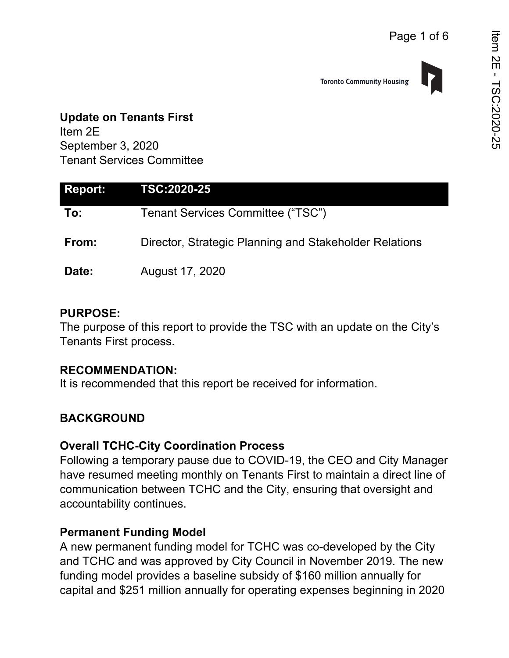

# **Update on Tenants First**

Item 2E September 3, 2020 Tenant Services Committee

| Report: | <b>TSC:2020-25</b>                                     |
|---------|--------------------------------------------------------|
| To:     | Tenant Services Committee ("TSC")                      |
| From:   | Director, Strategic Planning and Stakeholder Relations |
| Date:   | August 17, 2020                                        |

#### **PURPOSE:**

The purpose of this report to provide the TSC with an update on the City's Tenants First process.

#### **RECOMMENDATION:**

It is recommended that this report be received for information.

## **BACKGROUND**

#### **Overall TCHC-City Coordination Process**

Following a temporary pause due to COVID-19, the CEO and City Manager have resumed meeting monthly on Tenants First to maintain a direct line of communication between TCHC and the City, ensuring that oversight and accountability continues.

#### **Permanent Funding Model**

A new permanent funding model for TCHC was co-developed by the City and TCHC and was approved by City Council in November 2019. The new funding model provides a baseline subsidy of \$160 million annually for capital and \$251 million annually for operating expenses beginning in 2020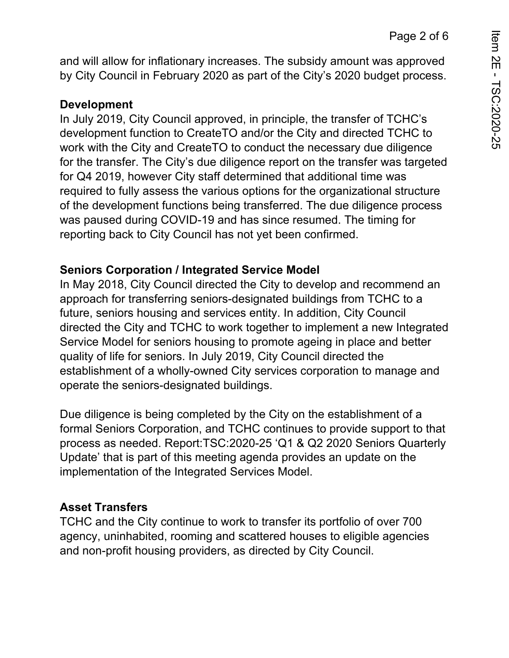and will allow for inflationary increases. The subsidy amount was approved by City Council in February 2020 as part of the City's 2020 budget process.

### **Development**

In July 2019, City Council approved, in principle, the transfer of TCHC's development function to CreateTO and/or the City and directed TCHC to work with the City and CreateTO to conduct the necessary due diligence for the transfer. The City's due diligence report on the transfer was targeted for Q4 2019, however City staff determined that additional time was required to fully assess the various options for the organizational structure of the development functions being transferred. The due diligence process was paused during COVID-19 and has since resumed. The timing for reporting back to City Council has not yet been confirmed.

## **Seniors Corporation / Integrated Service Model**

In May 2018, City Council directed the City to develop and recommend an approach for transferring seniors-designated buildings from TCHC to a future, seniors housing and services entity. In addition, City Council directed the City and TCHC to work together to implement a new Integrated Service Model for seniors housing to promote ageing in place and better quality of life for seniors. In July 2019, City Council directed the establishment of a wholly-owned City services corporation to manage and operate the seniors-designated buildings.

Due diligence is being completed by the City on the establishment of a formal Seniors Corporation, and TCHC continues to provide support to that process as needed. Report:TSC:2020-25 'Q1 & Q2 2020 Seniors Quarterly Update' that is part of this meeting agenda provides an update on the implementation of the Integrated Services Model.

## **Asset Transfers**

TCHC and the City continue to work to transfer its portfolio of over 700 agency, uninhabited, rooming and scattered houses to eligible agencies and non-profit housing providers, as directed by City Council.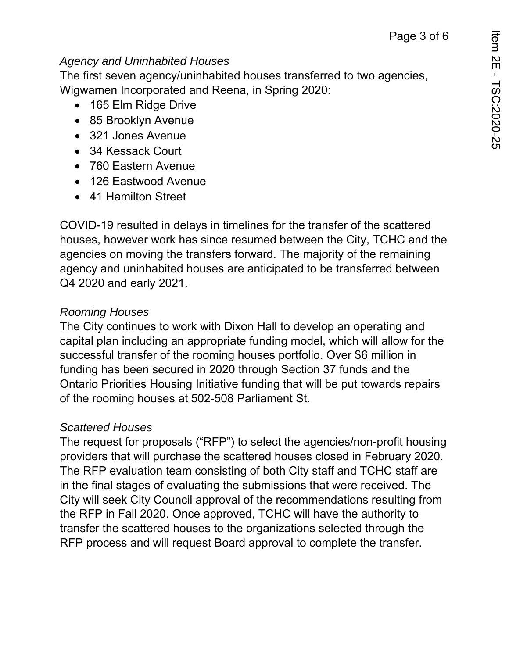#### *Agency and Uninhabited Houses*

The first seven agency/uninhabited houses transferred to two agencies, Wigwamen Incorporated and Reena, in Spring 2020:

- 165 Elm Ridge Drive
- 85 Brooklyn Avenue
- 321 Jones Avenue
- 34 Kessack Court
- 760 Eastern Avenue
- 126 Eastwood Avenue
- 41 Hamilton Street

COVID-19 resulted in delays in timelines for the transfer of the scattered houses, however work has since resumed between the City, TCHC and the agencies on moving the transfers forward. The majority of the remaining agency and uninhabited houses are anticipated to be transferred between Q4 2020 and early 2021.

### *Rooming Houses*

The City continues to work with Dixon Hall to develop an operating and capital plan including an appropriate funding model, which will allow for the successful transfer of the rooming houses portfolio. Over \$6 million in funding has been secured in 2020 through Section 37 funds and the Ontario Priorities Housing Initiative funding that will be put towards repairs of the rooming houses at 502-508 Parliament St.

#### *Scattered Houses*

The request for proposals ("RFP") to select the agencies/non-profit housing providers that will purchase the scattered houses closed in February 2020. The RFP evaluation team consisting of both City staff and TCHC staff are in the final stages of evaluating the submissions that were received. The City will seek City Council approval of the recommendations resulting from the RFP in Fall 2020. Once approved, TCHC will have the authority to transfer the scattered houses to the organizations selected through the RFP process and will request Board approval to complete the transfer.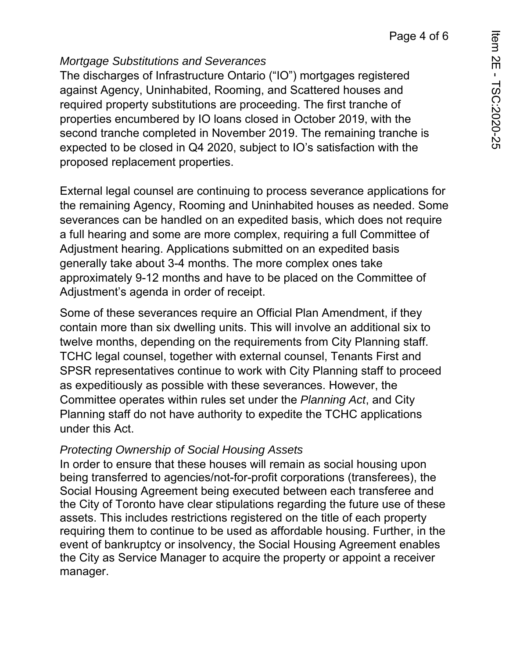## *Mortgage Substitutions and Severances*

The discharges of Infrastructure Ontario ("IO") mortgages registered against Agency, Uninhabited, Rooming, and Scattered houses and required property substitutions are proceeding. The first tranche of properties encumbered by IO loans closed in October 2019, with the second tranche completed in November 2019. The remaining tranche is expected to be closed in Q4 2020, subject to IO's satisfaction with the proposed replacement properties.

External legal counsel are continuing to process severance applications for the remaining Agency, Rooming and Uninhabited houses as needed. Some severances can be handled on an expedited basis, which does not require a full hearing and some are more complex, requiring a full Committee of Adjustment hearing. Applications submitted on an expedited basis generally take about 3-4 months. The more complex ones take approximately 9-12 months and have to be placed on the Committee of Adjustment's agenda in order of receipt.

Some of these severances require an Official Plan Amendment, if they contain more than six dwelling units. This will involve an additional six to twelve months, depending on the requirements from City Planning staff. TCHC legal counsel, together with external counsel, Tenants First and SPSR representatives continue to work with City Planning staff to proceed as expeditiously as possible with these severances. However, the Committee operates within rules set under the *Planning Act*, and City Planning staff do not have authority to expedite the TCHC applications under this Act.

## *Protecting Ownership of Social Housing Assets*

In order to ensure that these houses will remain as social housing upon being transferred to agencies/not-for-profit corporations (transferees), the Social Housing Agreement being executed between each transferee and the City of Toronto have clear stipulations regarding the future use of these assets. This includes restrictions registered on the title of each property requiring them to continue to be used as affordable housing. Further, in the event of bankruptcy or insolvency, the Social Housing Agreement enables the City as Service Manager to acquire the property or appoint a receiver manager.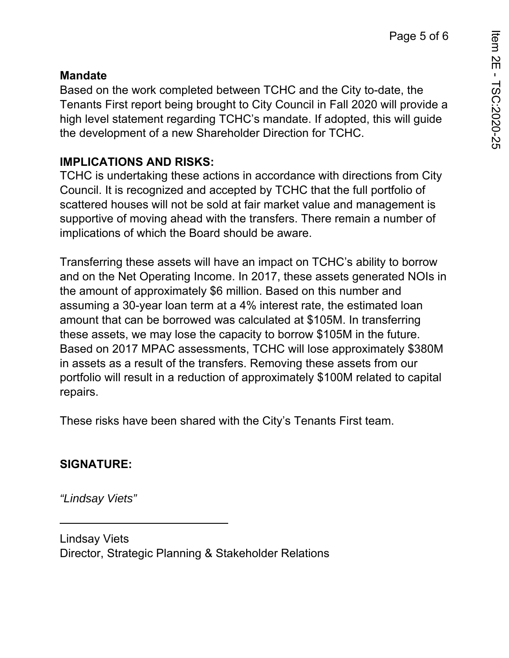#### **Mandate**

Based on the work completed between TCHC and the City to-date, the Tenants First report being brought to City Council in Fall 2020 will provide a high level statement regarding TCHC's mandate. If adopted, this will guide the development of a new Shareholder Direction for TCHC.

## **IMPLICATIONS AND RISKS:**

TCHC is undertaking these actions in accordance with directions from City Council. It is recognized and accepted by TCHC that the full portfolio of scattered houses will not be sold at fair market value and management is supportive of moving ahead with the transfers. There remain a number of implications of which the Board should be aware.

Transferring these assets will have an impact on TCHC's ability to borrow and on the Net Operating Income. In 2017, these assets generated NOIs in the amount of approximately \$6 million. Based on this number and assuming a 30-year loan term at a 4% interest rate, the estimated loan amount that can be borrowed was calculated at \$105M. In transferring these assets, we may lose the capacity to borrow \$105M in the future. Based on 2017 MPAC assessments, TCHC will lose approximately \$380M in assets as a result of the transfers. Removing these assets from our portfolio will result in a reduction of approximately \$100M related to capital repairs.

These risks have been shared with the City's Tenants First team.

## **SIGNATURE:**

*"Lindsay Viets"* 

Lindsay Viets Director, Strategic Planning & Stakeholder Relations